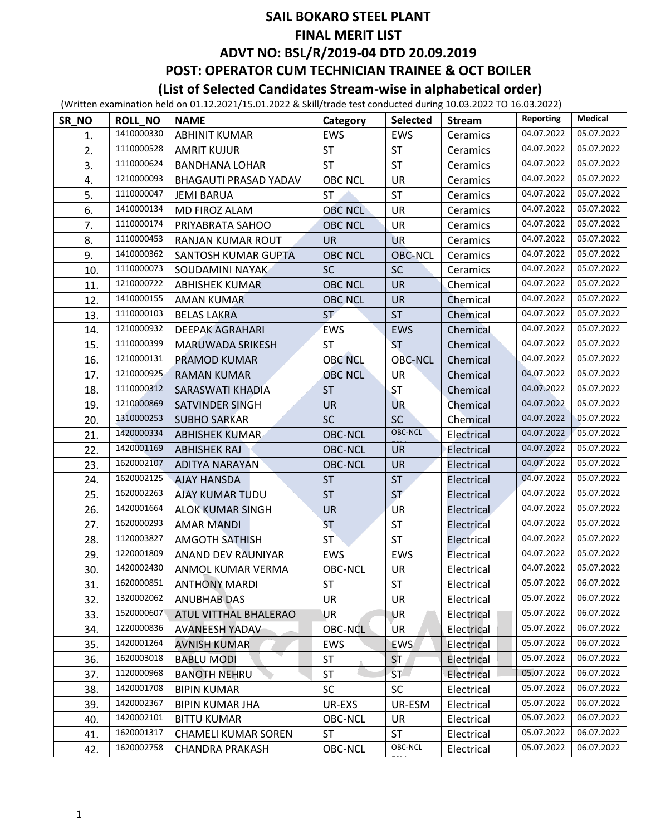| SR_NO | ROLL_NO    | <b>NAME</b>                  | Category       | <b>Selected</b> | <b>Stream</b> | <b>Reporting</b> | Medical               |
|-------|------------|------------------------------|----------------|-----------------|---------------|------------------|-----------------------|
| 1.    | 1410000330 | <b>ABHINIT KUMAR</b>         | <b>EWS</b>     | EWS             | Ceramics      | 04.07.2022       | 05.07.2022            |
| 2.    | 1110000528 | <b>AMRIT KUJUR</b>           | <b>ST</b>      | <b>ST</b>       | Ceramics      | 04.07.2022       | 05.07.2022            |
| 3.    | 1110000624 | <b>BANDHANA LOHAR</b>        | <b>ST</b>      | <b>ST</b>       | Ceramics      | 04.07.2022       | 05.07.2022            |
| 4.    | 1210000093 | <b>BHAGAUTI PRASAD YADAV</b> | <b>OBC NCL</b> | UR              | Ceramics      | 04.07.2022       | 05.07.2022            |
| 5.    | 1110000047 | <b>JEMI BARUA</b>            | <b>ST</b>      | <b>ST</b>       | Ceramics      | 04.07.2022       | 05.07.2022            |
| 6.    | 1410000134 | MD FIROZ ALAM                | <b>OBC NCL</b> | UR              | Ceramics      | 04.07.2022       | 05.07.2022            |
| 7.    | 1110000174 | PRIYABRATA SAHOO             | <b>OBC NCL</b> | <b>UR</b>       | Ceramics      | 04.07.2022       | 05.07.2022            |
| 8.    | 1110000453 | RANJAN KUMAR ROUT            | <b>UR</b>      | <b>UR</b>       | Ceramics      | 04.07.2022       | 05.07.2022            |
| 9.    | 1410000362 | SANTOSH KUMAR GUPTA          | <b>OBC NCL</b> | <b>OBC-NCL</b>  | Ceramics      | 04.07.2022       | 05.07.2022            |
| 10.   | 1110000073 | SOUDAMINI NAYAK              | <b>SC</b>      | <b>SC</b>       | Ceramics      | 04.07.2022       | 05.07.2022            |
| 11.   | 1210000722 | <b>ABHISHEK KUMAR</b>        | <b>OBC NCL</b> | <b>UR</b>       | Chemical      | 04.07.2022       | 05.07.2022            |
| 12.   | 1410000155 | AMAN KUMAR                   | <b>OBC NCL</b> | <b>UR</b>       | Chemical      | 04.07.2022       | 05.07.2022            |
| 13.   | 1110000103 | <b>BELAS LAKRA</b>           | <b>ST</b>      | <b>ST</b>       | Chemical      | 04.07.2022       | 05.07.2022            |
| 14.   | 1210000932 | <b>DEEPAK AGRAHARI</b>       | <b>EWS</b>     | EWS             | Chemical      | 04.07.2022       | 05.07.2022            |
| 15.   | 1110000399 | MARUWADA SRIKESH             | ST             | <b>ST</b>       | Chemical      | 04.07.2022       | 05.07.2022            |
| 16.   | 1210000131 | PRAMOD KUMAR                 | <b>OBC NCL</b> | <b>OBC-NCL</b>  | Chemical      | 04.07.2022       | 05.07.2022            |
| 17.   | 1210000925 | <b>RAMAN KUMAR</b>           | <b>OBC NCL</b> | UR              | Chemical      | 04.07.2022       | 05.07.2022            |
| 18.   | 1110000312 | SARASWATI KHADIA             | <b>ST</b>      | <b>ST</b>       | Chemical      | 04.07.2022       | 05.07.2022            |
| 19.   | 1210000869 | SATVINDER SINGH              | <b>UR</b>      | <b>UR</b>       | Chemical      | 04.07.2022       | 05.07.2022            |
| 20.   | 1310000253 | <b>SUBHO SARKAR</b>          | <b>SC</b>      | <b>SC</b>       | Chemical      | 04.07.2022       | 05.07.2022            |
| 21.   | 1420000334 | <b>ABHISHEK KUMAR</b>        | <b>OBC-NCL</b> | OBC-NCL         | Electrical    | 04.07.2022       | 05.07.2022            |
| 22.   | 1420001169 | <b>ABHISHEK RAJ</b>          | <b>OBC-NCL</b> | <b>UR</b>       | Electrical    | 04.07.2022       | 05.07.2022            |
| 23.   | 1620002107 | ADITYA NARAYAN               | <b>OBC-NCL</b> | <b>UR</b>       | Electrical    | 04.07.2022       | 05.07.2022            |
| 24.   | 1620002125 | <b>AJAY HANSDA</b>           | <b>ST</b>      | <b>ST</b>       | Electrical    | 04.07.2022       | 05.07.2022            |
| 25.   | 1620002263 | AJAY KUMAR TUDU              | <b>ST</b>      | <b>ST</b>       | Electrical    | 04.07.2022       | 05.07.2022            |
| 26.   | 1420001664 | <b>ALOK KUMAR SINGH</b>      | <b>UR</b>      | UR              | Electrical    | 04.07.2022       | 05.07.2022            |
| 27.   | 1620000293 | <b>AMAR MANDI</b>            | <b>ST</b>      | <b>ST</b>       | Electrical    | 04.07.2022       | 05.07.2022            |
| 28.   | 1120003827 | <b>AMGOTH SATHISH</b>        | <b>ST</b>      | <b>ST</b>       | Electrical    | 04.07.2022       | 05.07.2022            |
| 29.   | 1220001809 | ANAND DEV RAUNIYAR           | EWS            | EWS             | Electrical    | 04.07.2022       | 05.07.2022            |
| 30.   | 1420002430 | ANMOL KUMAR VERMA            | <b>OBC-NCL</b> | <b>UR</b>       | Electrical    | 04.07.2022       | 05.07.2022            |
| 31.   | 1620000851 | <b>ANTHONY MARDI</b>         | ST             | <b>ST</b>       | Electrical    |                  | 05.07.2022 06.07.2022 |
| 32.   | 1320002062 | <b>ANUBHAB DAS</b>           | <b>UR</b>      | <b>UR</b>       | Electrical    | 05.07.2022       | 06.07.2022            |
| 33.   | 1520000607 | ATUL VITTHAL BHALERAO        | UR             | UR              | Electrical    | 05.07.2022       | 06.07.2022            |
| 34.   | 1220000836 | <b>AVANEESH YADAV</b>        | <b>OBC-NCL</b> | UR              | Electrical    | 05.07.2022       | 06.07.2022            |
| 35.   | 1420001264 | <b>AVNISH KUMAR</b>          | <b>EWS</b>     | EWS             | Electrical    | 05.07.2022       | 06.07.2022            |
| 36.   | 1620003018 | <b>BABLU MODI</b>            | <b>ST</b>      | <b>ST</b>       | Electrical    | 05.07.2022       | 06.07.2022            |
| 37.   | 1120000968 | <b>BANOTH NEHRU</b>          | ST             | ST.             | Electrical    | 05.07.2022       | 06.07.2022            |
| 38.   | 1420001708 | <b>BIPIN KUMAR</b>           | SC             | <b>SC</b>       | Electrical    | 05.07.2022       | 06.07.2022            |
| 39.   | 1420002367 | <b>BIPIN KUMAR JHA</b>       | UR-EXS         | UR-ESM          | Electrical    | 05.07.2022       | 06.07.2022            |
| 40.   | 1420002101 | <b>BITTU KUMAR</b>           | <b>OBC-NCL</b> | <b>UR</b>       | Electrical    | 05.07.2022       | 06.07.2022            |
| 41.   | 1620001317 | <b>CHAMELI KUMAR SOREN</b>   | ST             | <b>ST</b>       | Electrical    | 05.07.2022       | 06.07.2022            |
| 42.   | 1620002758 | <b>CHANDRA PRAKASH</b>       | <b>OBC-NCL</b> | OBC-NCL         | Electrical    | 05.07.2022       | 06.07.2022            |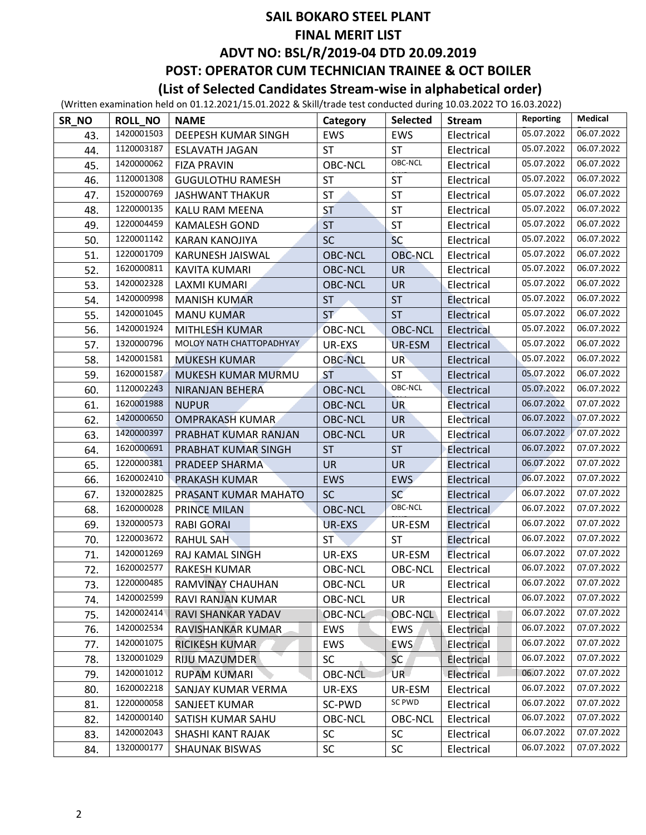| SR_NO | ROLL NO    | <b>NAME</b>              | Category       | <b>Selected</b>  | <b>Stream</b> | <b>Reporting</b> | Medical    |
|-------|------------|--------------------------|----------------|------------------|---------------|------------------|------------|
| 43.   | 1420001503 | DEEPESH KUMAR SINGH      | <b>EWS</b>     | EWS              | Electrical    | 05.07.2022       | 06.07.2022 |
| 44.   | 1120003187 | <b>ESLAVATH JAGAN</b>    | <b>ST</b>      | <b>ST</b>        | Electrical    | 05.07.2022       | 06.07.2022 |
| 45.   | 1420000062 | <b>FIZA PRAVIN</b>       | <b>OBC-NCL</b> | OBC-NCL          | Electrical    | 05.07.2022       | 06.07.2022 |
| 46.   | 1120001308 | <b>GUGULOTHU RAMESH</b>  | <b>ST</b>      | <b>ST</b>        | Electrical    | 05.07.2022       | 06.07.2022 |
| 47.   | 1520000769 | <b>JASHWANT THAKUR</b>   | <b>ST</b>      | <b>ST</b>        | Electrical    | 05.07.2022       | 06.07.2022 |
| 48.   | 1220000135 | KALU RAM MEENA           | <b>ST</b>      | <b>ST</b>        | Electrical    | 05.07.2022       | 06.07.2022 |
| 49.   | 1220004459 | <b>KAMALESH GOND</b>     | <b>ST</b>      | <b>ST</b>        | Electrical    | 05.07.2022       | 06.07.2022 |
| 50.   | 1220001142 | <b>KARAN KANOJIYA</b>    | <b>SC</b>      | <b>SC</b>        | Electrical    | 05.07.2022       | 06.07.2022 |
| 51.   | 1220001709 | KARUNESH JAISWAL         | <b>OBC-NCL</b> | <b>OBC-NCL</b>   | Electrical    | 05.07.2022       | 06.07.2022 |
| 52.   | 1620000811 | <b>KAVITA KUMARI</b>     | <b>OBC-NCL</b> | <b>UR</b>        | Electrical    | 05.07.2022       | 06.07.2022 |
| 53.   | 1420002328 | LAXMI KUMARI             | <b>OBC-NCL</b> | <b>UR</b>        | Electrical    | 05.07.2022       | 06.07.2022 |
| 54.   | 1420000998 | <b>MANISH KUMAR</b>      | <b>ST</b>      | <b>ST</b>        | Electrical    | 05.07.2022       | 06.07.2022 |
| 55.   | 1420001045 | <b>MANU KUMAR</b>        | <b>ST</b>      | <b>ST</b>        | Electrical    | 05.07.2022       | 06.07.2022 |
| 56.   | 1420001924 | MITHLESH KUMAR           | OBC-NCL        | <b>OBC-NCL</b>   | Electrical    | 05.07.2022       | 06.07.2022 |
| 57.   | 1320000796 | MOLOY NATH CHATTOPADHYAY | UR-EXS         | UR-ESM           | Electrical    | 05.07.2022       | 06.07.2022 |
| 58.   | 1420001581 | <b>MUKESH KUMAR</b>      | <b>OBC-NCL</b> | <b>UR</b>        | Electrical    | 05.07.2022       | 06.07.2022 |
| 59.   | 1620001587 | MUKESH KUMAR MURMU       | <b>ST</b>      | <b>ST</b>        | Electrical    | 05.07.2022       | 06.07.2022 |
| 60.   | 1120002243 | NIRANJAN BEHERA          | <b>OBC-NCL</b> | OBC-NCL          | Electrical    | 05.07.2022       | 06.07.2022 |
| 61.   | 1620001988 | <b>NUPUR</b>             | <b>OBC-NCL</b> | <b>UR</b>        | Electrical    | 06.07.2022       | 07.07.2022 |
| 62.   | 1420000650 | <b>OMPRAKASH KUMAR</b>   | <b>OBC-NCL</b> | <b>UR</b>        | Electrical    | 06.07.2022       | 07.07.2022 |
| 63.   | 1420000397 | PRABHAT KUMAR RANJAN     | <b>OBC-NCL</b> | <b>UR</b>        | Electrical    | 06.07.2022       | 07.07.2022 |
| 64.   | 1620000691 | PRABHAT KUMAR SINGH      | <b>ST</b>      | <b>ST</b>        | Electrical    | 06.07.2022       | 07.07.2022 |
| 65.   | 1220000381 | PRADEEP SHARMA           | <b>UR</b>      | <b>UR</b>        | Electrical    | 06.07.2022       | 07.07.2022 |
| 66.   | 1620002410 | PRAKASH KUMAR            | <b>EWS</b>     | EWS <sup>®</sup> | Electrical    | 06.07.2022       | 07.07.2022 |
| 67.   | 1320002825 | PRASANT KUMAR MAHATO     | <b>SC</b>      | <b>SC</b>        | Electrical    | 06.07.2022       | 07.07.2022 |
| 68.   | 1620000028 | <b>PRINCE MILAN</b>      | <b>OBC-NCL</b> | OBC-NCL          | Electrical    | 06.07.2022       | 07.07.2022 |
| 69.   | 1320000573 | <b>RABI GORAI</b>        | <b>UR-EXS</b>  | UR-ESM           | Electrical    | 06.07.2022       | 07.07.2022 |
| 70.   | 1220003672 | <b>RAHUL SAH</b>         | ST             | <b>ST</b>        | Electrical    | 06.07.2022       | 07.07.2022 |
| 71.   | 1420001269 | RAJ KAMAL SINGH          | UR-EXS         | UR-ESM           | Electrical    | 06.07.2022       | 07.07.2022 |
| 72.   | 1620002577 | <b>RAKESH KUMAR</b>      | <b>OBC-NCL</b> | <b>OBC-NCL</b>   | Electrical    | 06.07.2022       | 07.07.2022 |
| 73.   | 1220000485 | RAMVINAY CHAUHAN         | OBC-NCL        | UR               | Electrical    | 06.07.2022       | 07.07.2022 |
| 74.   | 1420002599 | RAVI RANJAN KUMAR        | <b>OBC-NCL</b> | <b>UR</b>        | Electrical    | 06.07.2022       | 07.07.2022 |
| 75.   | 1420002414 | RAVI SHANKAR YADAV       | <b>OBC-NCL</b> | OBC-NCL          | Electrical    | 06.07.2022       | 07.07.2022 |
| 76.   | 1420002534 | RAVISHANKAR KUMAR        | <b>EWS</b>     | EWS              | Electrical    | 06.07.2022       | 07.07.2022 |
| 77.   | 1420001075 | <b>RICIKESH KUMAR</b>    | <b>EWS</b>     | EWS              | Electrical    | 06.07.2022       | 07.07.2022 |
| 78.   | 1320001029 | RIJU MAZUMDER            | <b>SC</b>      | <b>SC</b>        | Electrical    | 06.07.2022       | 07.07.2022 |
| 79.   | 1420001012 | <b>RUPAM KUMARI</b>      | <b>OBC-NCL</b> | UR-              | Electrical    | 06.07.2022       | 07.07.2022 |
| 80.   | 1620002218 | SANJAY KUMAR VERMA       | UR-EXS         | UR-ESM           | Electrical    | 06.07.2022       | 07.07.2022 |
| 81.   | 1220000058 | SANJEET KUMAR            | SC-PWD         | SC PWD           | Electrical    | 06.07.2022       | 07.07.2022 |
| 82.   | 1420000140 | SATISH KUMAR SAHU        | OBC-NCL        | OBC-NCL          | Electrical    | 06.07.2022       | 07.07.2022 |
| 83.   | 1420002043 | SHASHI KANT RAJAK        | <b>SC</b>      | <b>SC</b>        | Electrical    | 06.07.2022       | 07.07.2022 |
| 84.   | 1320000177 | <b>SHAUNAK BISWAS</b>    | <b>SC</b>      | <b>SC</b>        | Electrical    | 06.07.2022       | 07.07.2022 |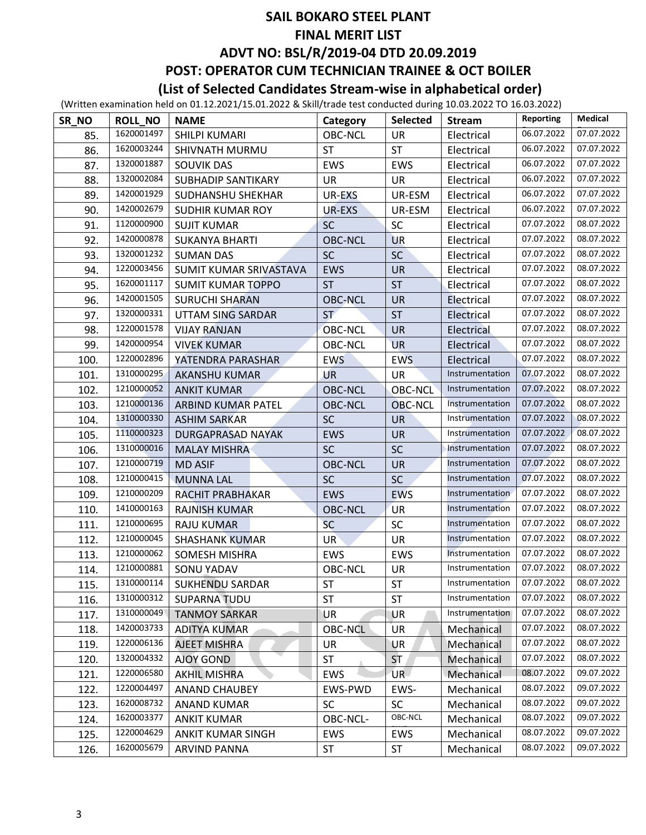| SR_NO | <b>ROLL_NO</b> | <b>NAME</b>               | Category        | <b>Selected</b> | <b>Stream</b>   | <b>Reporting</b> | Medical    |
|-------|----------------|---------------------------|-----------------|-----------------|-----------------|------------------|------------|
| 85.   | 1620001497     | SHILPI KUMARI             | <b>OBC-NCL</b>  | <b>UR</b>       | Electrical      | 06.07.2022       | 07.07.2022 |
| 86.   | 1620003244     | SHIVNATH MURMU            | <b>ST</b>       | <b>ST</b>       | Electrical      | 06.07.2022       | 07.07.2022 |
| 87.   | 1320001887     | <b>SOUVIK DAS</b>         | <b>EWS</b>      | EWS             | Electrical      | 06.07.2022       | 07.07.2022 |
| 88.   | 1320002084     | <b>SUBHADIP SANTIKARY</b> | <b>UR</b>       | <b>UR</b>       | Electrical      | 06.07.2022       | 07.07.2022 |
| 89.   | 1420001929     | SUDHANSHU SHEKHAR         | UR-EXS          | UR-ESM          | Electrical      | 06.07.2022       | 07.07.2022 |
| 90.   | 1420002679     | SUDHIR KUMAR ROY          | UR-EXS          | UR-ESM          | Electrical      | 06.07.2022       | 07.07.2022 |
| 91.   | 1120000900     | <b>SUJIT KUMAR</b>        | <b>SC</b>       | <b>SC</b>       | Electrical      | 07.07.2022       | 08.07.2022 |
| 92.   | 1420000878     | <b>SUKANYA BHARTI</b>     | <b>OBC-NCL</b>  | <b>UR</b>       | Electrical      | 07.07.2022       | 08.07.2022 |
| 93.   | 1320001232     | <b>SUMAN DAS</b>          | <b>SC</b>       | <b>SC</b>       | Electrical      | 07.07.2022       | 08.07.2022 |
| 94.   | 1220003456     | SUMIT KUMAR SRIVASTAVA    | <b>EWS</b>      | <b>UR</b>       | Electrical      | 07.07.2022       | 08.07.2022 |
| 95.   | 1620001117     | <b>SUMIT KUMAR TOPPO</b>  | <b>ST</b>       | <b>ST</b>       | Electrical      | 07.07.2022       | 08.07.2022 |
| 96.   | 1420001505     | <b>SURUCHI SHARAN</b>     | <b>OBC-NCL</b>  | <b>UR</b>       | Electrical      | 07.07.2022       | 08.07.2022 |
| 97.   | 1320000331     | UTTAM SING SARDAR         | <b>ST</b>       | <b>ST</b>       | Electrical      | 07.07.2022       | 08.07.2022 |
| 98.   | 1220001578     | <b>VIJAY RANJAN</b>       | OBC-NCL         | <b>UR</b>       | Electrical      | 07.07.2022       | 08.07.2022 |
| 99.   | 1420000954     | <b>VIVEK KUMAR</b>        | OBC-NCL         | <b>UR</b>       | Electrical      | 07.07.2022       | 08.07.2022 |
| 100.  | 1220002896     | YATENDRA PARASHAR         | <b>EWS</b>      | <b>EWS</b>      | Electrical      | 07.07.2022       | 08.07.2022 |
| 101.  | 1310000295     | AKANSHU KUMAR             | UR              | UR              | Instrumentation | 07.07.2022       | 08.07.2022 |
| 102.  | 1210000052     | <b>ANKIT KUMAR</b>        | <b>OBC-NCL</b>  | <b>OBC-NCL</b>  | Instrumentation | 07.07.2022       | 08.07.2022 |
| 103.  | 1210000136     | ARBIND KUMAR PATEL        | <b>OBC-NCL</b>  | <b>OBC-NCL</b>  | Instrumentation | 07.07.2022       | 08.07.2022 |
| 104.  | 1310000330     | <b>ASHIM SARKAR</b>       | <b>SC</b>       | <b>UR</b>       | Instrumentation | 07.07.2022       | 08.07.2022 |
| 105.  | 1110000323     | DURGAPRASAD NAYAK         | <b>EWS</b>      | <b>UR</b>       | Instrumentation | 07.07.2022       | 08.07.2022 |
| 106.  | 1310000016     | <b>MALAY MISHRA</b>       | <b>SC</b>       | <b>SC</b>       | Instrumentation | 07.07.2022       | 08.07.2022 |
| 107.  | 1210000719     | <b>MD ASIF</b>            | <b>OBC-NCL</b>  | <b>UR</b>       | Instrumentation | 07.07.2022       | 08.07.2022 |
| 108.  | 1210000415     | <b>MUNNA LAL</b>          | <b>SC</b>       | SC              | Instrumentation | 07.07.2022       | 08.07.2022 |
| 109.  | 1210000209     | RACHIT PRABHAKAR          | <b>EWS</b>      | <b>EWS</b>      | Instrumentation | 07.07.2022       | 08.07.2022 |
| 110.  | 1410000163     | <b>RAJNISH KUMAR</b>      | <b>OBC-NCL</b>  | <b>UR</b>       | Instrumentation | 07.07.2022       | 08.07.2022 |
| 111.  | 1210000695     | <b>RAJU KUMAR</b>         | <b>SC</b>       | <b>SC</b>       | Instrumentation | 07.07.2022       | 08.07.2022 |
| 112.  | 1210000045     | <b>SHASHANK KUMAR</b>     | UR <sup>1</sup> | UR              | Instrumentation | 07.07.2022       | 08.07.2022 |
| 113.  | 1210000062     | SOMESH MISHRA             | <b>EWS</b>      | EWS             | Instrumentation | 07.07.2022       | 08.07.2022 |
| 114.  | 1210000881     | SONU YADAV                | <b>OBC-NCL</b>  | <b>UR</b>       | Instrumentation | 07.07.2022       | 08.07.2022 |
| 115.  | 1310000114     | SUKHENDU SARDAR           | <b>ST</b>       | <b>ST</b>       | Instrumentation | 07.07.2022       | 08.07.2022 |
| 116.  | 1310000312     | <b>SUPARNA TUDU</b>       | <b>ST</b>       | <b>ST</b>       | Instrumentation | 07.07.2022       | 08.07.2022 |
| 117.  | 1310000049     | <b>TANMOY SARKAR</b>      | UR              | UR              | Instrumentation | 07.07.2022       | 08.07.2022 |
| 118.  | 1420003733     | <b>ADITYA KUMAR</b>       | <b>OBC-NCL</b>  | UR              | Mechanical      | 07.07.2022       | 08.07.2022 |
| 119.  | 1220006136     | <b>AJEET MISHRA</b>       | UR.             | UR              | Mechanical      | 07.07.2022       | 08.07.2022 |
| 120.  | 1320004332     | <b>AJOY GOND</b>          | ST              | <b>ST</b>       | Mechanical      | 07.07.2022       | 08.07.2022 |
| 121.  | 1220006580     | <b>AKHIL MISHRA</b>       | <b>EWS</b>      | UR.             | Mechanical      | 08.07.2022       | 09.07.2022 |
| 122.  | 1220004497     | <b>ANAND CHAUBEY</b>      | EWS-PWD         | EWS-            | Mechanical      | 08.07.2022       | 09.07.2022 |
| 123.  | 1620008732     | <b>ANAND KUMAR</b>        | SC              | <b>SC</b>       | Mechanical      | 08.07.2022       | 09.07.2022 |
| 124.  | 1620003377     | <b>ANKIT KUMAR</b>        | OBC-NCL-        | OBC-NCL         | Mechanical      | 08.07.2022       | 09.07.2022 |
| 125.  | 1220004629     | ANKIT KUMAR SINGH         | <b>EWS</b>      | EWS             | Mechanical      | 08.07.2022       | 09.07.2022 |
| 126.  | 1620005679     | <b>ARVIND PANNA</b>       | ST              | <b>ST</b>       | Mechanical      | 08.07.2022       | 09.07.2022 |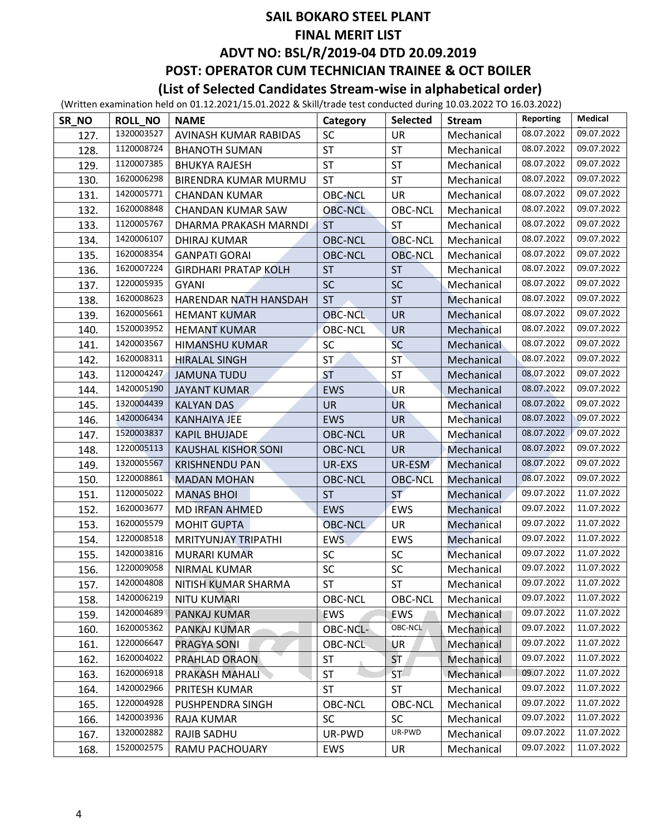| SR_NO | <b>ROLL NO</b> | <b>NAME</b>                 | Category       | <b>Selected</b> | <b>Stream</b> | <b>Reporting</b> | Medical               |
|-------|----------------|-----------------------------|----------------|-----------------|---------------|------------------|-----------------------|
| 127.  | 1320003527     | AVINASH KUMAR RABIDAS       | SC             | UR              | Mechanical    | 08.07.2022       | 09.07.2022            |
| 128.  | 1120008724     | <b>BHANOTH SUMAN</b>        | <b>ST</b>      | <b>ST</b>       | Mechanical    | 08.07.2022       | 09.07.2022            |
| 129.  | 1120007385     | <b>BHUKYA RAJESH</b>        | <b>ST</b>      | <b>ST</b>       | Mechanical    | 08.07.2022       | 09.07.2022            |
| 130.  | 1620006298     | BIRENDRA KUMAR MURMU        | <b>ST</b>      | <b>ST</b>       | Mechanical    | 08.07.2022       | 09.07.2022            |
| 131.  | 1420005771     | <b>CHANDAN KUMAR</b>        | <b>OBC-NCL</b> | <b>UR</b>       | Mechanical    | 08.07.2022       | 09.07.2022            |
| 132.  | 1620008848     | CHANDAN KUMAR SAW           | <b>OBC-NCL</b> | OBC-NCL         | Mechanical    | 08.07.2022       | 09.07.2022            |
| 133.  | 1120005767     | DHARMA PRAKASH MARNDI       | <b>ST</b>      | <b>ST</b>       | Mechanical    | 08.07.2022       | 09.07.2022            |
| 134.  | 1420006107     | <b>DHIRAJ KUMAR</b>         | <b>OBC-NCL</b> | <b>OBC-NCL</b>  | Mechanical    | 08.07.2022       | 09.07.2022            |
| 135.  | 1620008354     | <b>GANPATI GORAI</b>        | <b>OBC-NCL</b> | <b>OBC-NCL</b>  | Mechanical    | 08.07.2022       | 09.07.2022            |
| 136.  | 1620007224     | <b>GIRDHARI PRATAP KOLH</b> | <b>ST</b>      | <b>ST</b>       | Mechanical    | 08.07.2022       | 09.07.2022            |
| 137.  | 1220005935     | <b>GYANI</b>                | SC             | SC              | Mechanical    | 08.07.2022       | 09.07.2022            |
| 138.  | 1620008623     | HARENDAR NATH HANSDAH       | <b>ST</b>      | <b>ST</b>       | Mechanical    | 08.07.2022       | 09.07.2022            |
| 139.  | 1620005661     | <b>HEMANT KUMAR</b>         | <b>OBC-NCL</b> | <b>UR</b>       | Mechanical    | 08.07.2022       | 09.07.2022            |
| 140.  | 1520003952     | <b>HEMANT KUMAR</b>         | OBC-NCL        | <b>UR</b>       | Mechanical    | 08.07.2022       | 09.07.2022            |
| 141.  | 1420003567     | <b>HIMANSHU KUMAR</b>       | SC             | <b>SC</b>       | Mechanical    | 08.07.2022       | 09.07.2022            |
| 142.  | 1620008311     | <b>HIRALAL SINGH</b>        | ST.            | <b>ST</b>       | Mechanical    | 08.07.2022       | 09.07.2022            |
| 143.  | 1120004247     | <b>JAMUNA TUDU</b>          | <b>ST</b>      | <b>ST</b>       | Mechanical    | 08.07.2022       | 09.07.2022            |
| 144.  | 1420005190     | <b>JAYANT KUMAR</b>         | <b>EWS</b>     | <b>UR</b>       | Mechanical    | 08.07.2022       | 09.07.2022            |
| 145.  | 1320004439     | <b>KALYAN DAS</b>           | <b>UR</b>      | <b>UR</b>       | Mechanical    | 08.07.2022       | 09.07.2022            |
| 146.  | 1420006434     | <b>KANHAIYA JEE</b>         | <b>EWS</b>     | <b>UR</b>       | Mechanical    | 08.07.2022       | 09.07.2022            |
| 147.  | 1520003837     | <b>KAPIL BHUJADE</b>        | <b>OBC-NCL</b> | <b>UR</b>       | Mechanical    | 08.07.2022       | 09.07.2022            |
| 148.  | 1220005113     | KAUSHAL KISHOR SONI         | <b>OBC-NCL</b> | <b>UR</b>       | Mechanical    | 08.07.2022       | 09.07.2022            |
| 149.  | 1320005567     | <b>KRISHNENDU PAN</b>       | UR-EXS         | UR-ESM          | Mechanical    | 08.07.2022       | 09.07.2022            |
| 150.  | 1220008861     | <b>MADAN MOHAN</b>          | <b>OBC-NCL</b> | <b>OBC-NCL</b>  | Mechanical    | 08.07.2022       | 09.07.2022            |
| 151.  | 1120005022     | <b>MANAS BHOI</b>           | <b>ST</b>      | <b>ST</b>       | Mechanical    | 09.07.2022       | 11.07.2022            |
| 152.  | 1620003677     | <b>MD IRFAN AHMED</b>       | <b>EWS</b>     | EWS             | Mechanical    | 09.07.2022       | 11.07.2022            |
| 153.  | 1620005579     | <b>MOHIT GUPTA</b>          | <b>OBC-NCL</b> | <b>UR</b>       | Mechanical    | 09.07.2022       | 11.07.2022            |
| 154.  | 1220008518     | <b>MRITYUNJAY TRIPATHI</b>  | <b>EWS</b>     | EWS             | Mechanical    | 09.07.2022       | 11.07.2022            |
| 155.  | 1420003816     | <b>MURARI KUMAR</b>         | SC             | <b>SC</b>       | Mechanical    | 09.07.2022       | 11.07.2022            |
| 156.  | 1220009058     | NIRMAL KUMAR                | SC             | SC              | Mechanical    | 09.07.2022       | 11.07.2022            |
| 157.  | 1420004808     | NITISH KUMAR SHARMA         | ST             | <b>ST</b>       | Mechanical    |                  | 09.07.2022 11.07.2022 |
| 158.  | 1420006219     | NITU KUMARI                 | <b>OBC-NCL</b> | OBC-NCL         | Mechanical    | 09.07.2022       | 11.07.2022            |
| 159.  | 1420004689     | PANKAJ KUMAR                | <b>EWS</b>     | EWS             | Mechanical    | 09.07.2022       | 11.07.2022            |
| 160.  | 1620005362     | PANKAJ KUMAR                | OBC-NCL-       | OBC-NCL         | Mechanical    | 09.07.2022       | 11.07.2022            |
| 161.  | 1220006647     | PRAGYA SONI                 | <b>OBC-NCL</b> | UR              | Mechanical    | 09.07.2022       | 11.07.2022            |
| 162.  | 1620004022     | PRAHLAD ORAON               | <b>ST</b>      | ST              | Mechanical    | 09.07.2022       | 11.07.2022            |
| 163.  | 1620006918     | <b>PRAKASH MAHALI</b>       | <b>ST</b>      | ST.             | Mechanical    | 09.07.2022       | 11.07.2022            |
| 164.  | 1420002966     | PRITESH KUMAR               | <b>ST</b>      | <b>ST</b>       | Mechanical    | 09.07.2022       | 11.07.2022            |
| 165.  | 1220004928     | PUSHPENDRA SINGH            | <b>OBC-NCL</b> | OBC-NCL         | Mechanical    | 09.07.2022       | 11.07.2022            |
| 166.  | 1420003936     | RAJA KUMAR                  | <b>SC</b>      | <b>SC</b>       | Mechanical    | 09.07.2022       | 11.07.2022            |
| 167.  | 1320002882     | RAJIB SADHU                 | UR-PWD         | UR-PWD          | Mechanical    | 09.07.2022       | 11.07.2022            |
| 168.  | 1520002575     | RAMU PACHOUARY              | EWS            | UR              | Mechanical    | 09.07.2022       | 11.07.2022            |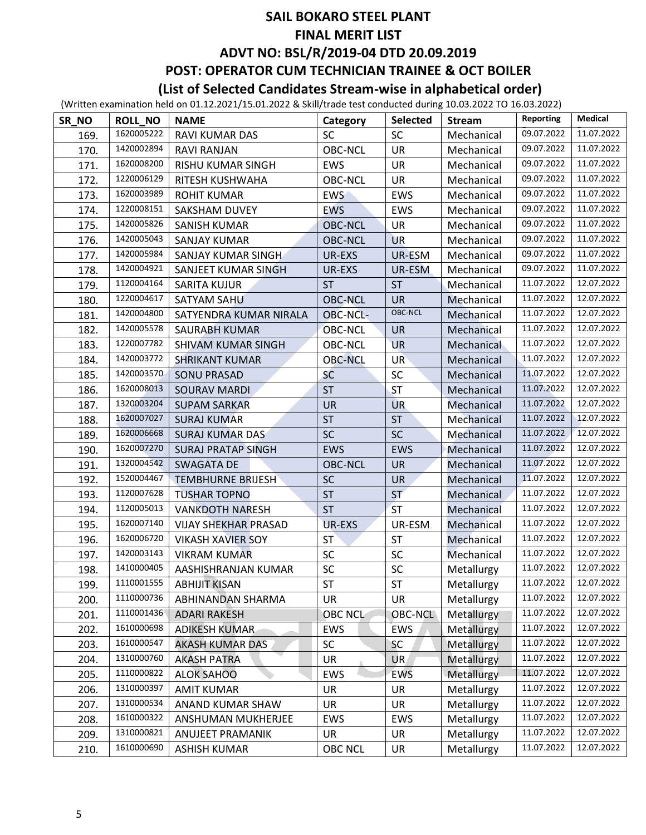| SR_NO | ROLL NO    | <b>NAME</b>                 | Category       | <b>Selected</b> | <b>Stream</b> | <b>Reporting</b> | Medical    |
|-------|------------|-----------------------------|----------------|-----------------|---------------|------------------|------------|
| 169.  | 1620005222 | RAVI KUMAR DAS              | <b>SC</b>      | <b>SC</b>       | Mechanical    | 09.07.2022       | 11.07.2022 |
| 170.  | 1420002894 | <b>RAVI RANJAN</b>          | <b>OBC-NCL</b> | UR              | Mechanical    | 09.07.2022       | 11.07.2022 |
| 171.  | 1620008200 | <b>RISHU KUMAR SINGH</b>    | <b>EWS</b>     | <b>UR</b>       | Mechanical    | 09.07.2022       | 11.07.2022 |
| 172.  | 1220006129 | RITESH KUSHWAHA             | <b>OBC-NCL</b> | <b>UR</b>       | Mechanical    | 09.07.2022       | 11.07.2022 |
| 173.  | 1620003989 | <b>ROHIT KUMAR</b>          | <b>EWS</b>     | EWS             | Mechanical    | 09.07.2022       | 11.07.2022 |
| 174.  | 1220008151 | SAKSHAM DUVEY               | <b>EWS</b>     | EWS             | Mechanical    | 09.07.2022       | 11.07.2022 |
| 175.  | 1420005826 | <b>SANISH KUMAR</b>         | <b>OBC-NCL</b> | <b>UR</b>       | Mechanical    | 09.07.2022       | 11.07.2022 |
| 176.  | 1420005043 | SANJAY KUMAR                | <b>OBC-NCL</b> | <b>UR</b>       | Mechanical    | 09.07.2022       | 11.07.2022 |
| 177.  | 1420005984 | SANJAY KUMAR SINGH          | UR-EXS         | UR-ESM          | Mechanical    | 09.07.2022       | 11.07.2022 |
| 178.  | 1420004921 | SANJEET KUMAR SINGH         | UR-EXS         | UR-ESM          | Mechanical    | 09.07.2022       | 11.07.2022 |
| 179.  | 1120004164 | <b>SARITA KUJUR</b>         | <b>ST</b>      | <b>ST</b>       | Mechanical    | 11.07.2022       | 12.07.2022 |
| 180.  | 1220004617 | SATYAM SAHU                 | <b>OBC-NCL</b> | <b>UR</b>       | Mechanical    | 11.07.2022       | 12.07.2022 |
| 181.  | 1420004800 | SATYENDRA KUMAR NIRALA      | OBC-NCL-       | OBC-NCL         | Mechanical    | 11.07.2022       | 12.07.2022 |
| 182.  | 1420005578 | SAURABH KUMAR               | OBC-NCL        | <b>UR</b>       | Mechanical    | 11.07.2022       | 12.07.2022 |
| 183.  | 1220007782 | SHIVAM KUMAR SINGH          | OBC-NCL        | <b>UR</b>       | Mechanical    | 11.07.2022       | 12.07.2022 |
| 184.  | 1420003772 | <b>SHRIKANT KUMAR</b>       | <b>OBC-NCL</b> | <b>UR</b>       | Mechanical    | 11.07.2022       | 12.07.2022 |
| 185.  | 1420003570 | <b>SONU PRASAD</b>          | <b>SC</b>      | SC              | Mechanical    | 11.07.2022       | 12.07.2022 |
| 186.  | 1620008013 | <b>SOURAV MARDI</b>         | <b>ST</b>      | <b>ST</b>       | Mechanical    | 11.07.2022       | 12.07.2022 |
| 187.  | 1320003204 | <b>SUPAM SARKAR</b>         | <b>UR</b>      | <b>UR</b>       | Mechanical    | 11.07.2022       | 12.07.2022 |
| 188.  | 1620007027 | <b>SURAJ KUMAR</b>          | <b>ST</b>      | <b>ST</b>       | Mechanical    | 11.07.2022       | 12.07.2022 |
| 189.  | 1620006668 | <b>SURAJ KUMAR DAS</b>      | <b>SC</b>      | SC              | Mechanical    | 11.07.2022       | 12.07.2022 |
| 190.  | 1620007270 | <b>SURAJ PRATAP SINGH</b>   | <b>EWS</b>     | EWS             | Mechanical    | 11.07.2022       | 12.07.2022 |
| 191.  | 1320004542 | <b>SWAGATA DE</b>           | <b>OBC-NCL</b> | <b>UR</b>       | Mechanical    | 11.07.2022       | 12.07.2022 |
| 192.  | 1520004467 | <b>TEMBHURNE BRIJESH</b>    | SC             | <b>UR</b>       | Mechanical    | 11.07.2022       | 12.07.2022 |
| 193.  | 1120007628 | <b>TUSHAR TOPNO</b>         | <b>ST</b>      | <b>ST</b>       | Mechanical    | 11.07.2022       | 12.07.2022 |
| 194.  | 1120005013 | <b>VANKDOTH NARESH</b>      | <b>ST</b>      | <b>ST</b>       | Mechanical    | 11.07.2022       | 12.07.2022 |
| 195.  | 1620007140 | <b>VIJAY SHEKHAR PRASAD</b> | <b>UR-EXS</b>  | UR-ESM          | Mechanical    | 11.07.2022       | 12.07.2022 |
| 196.  | 1620006720 | <b>VIKASH XAVIER SOY</b>    | <b>ST</b>      | <b>ST</b>       | Mechanical    | 11.07.2022       | 12.07.2022 |
| 197.  | 1420003143 | <b>VIKRAM KUMAR</b>         | <b>SC</b>      | SC              | Mechanical    | 11.07.2022       | 12.07.2022 |
| 198.  | 1410000405 | AASHISHRANJAN KUMAR         | <b>SC</b>      | SC              | Metallurgy    | 11.07.2022       | 12.07.2022 |
| 199.  | 1110001555 | <b>ABHIJIT KISAN</b>        | <b>ST</b>      | <b>ST</b>       | Metallurgy    | 11.07.2022       | 12.07.2022 |
| 200.  | 1110000736 | ABHINANDAN SHARMA           | <b>UR</b>      | <b>UR</b>       | Metallurgy    | 11.07.2022       | 12.07.2022 |
| 201.  | 1110001436 | <b>ADARI RAKESH</b>         | <b>OBC NCL</b> | <b>OBC-NCL</b>  | Metallurgy    | 11.07.2022       | 12.07.2022 |
| 202.  | 1610000698 | <b>ADIKESH KUMAR</b>        | EWS            | EWS             | Metallurgy    | 11.07.2022       | 12.07.2022 |
| 203.  | 1610000547 | <b>AKASH KUMAR DAS</b>      | SC             | <b>SC</b>       | Metallurgy    | 11.07.2022       | 12.07.2022 |
| 204.  | 1310000760 | <b>AKASH PATRA</b>          | UR             | UR.             | Metallurgy    | 11.07.2022       | 12.07.2022 |
| 205.  | 1110000822 | <b>ALOK SAHOO</b>           | EWS            | <b>EWS</b>      | Metallurgy    | 11.07.2022       | 12.07.2022 |
| 206.  | 1310000397 | <b>AMIT KUMAR</b>           | <b>UR</b>      | <b>UR</b>       | Metallurgy    | 11.07.2022       | 12.07.2022 |
| 207.  | 1310000534 | ANAND KUMAR SHAW            | UR             | UR              | Metallurgy    | 11.07.2022       | 12.07.2022 |
| 208.  | 1610000322 | ANSHUMAN MUKHERJEE          | EWS            | EWS             | Metallurgy    | 11.07.2022       | 12.07.2022 |
| 209.  | 1310000821 | ANUJEET PRAMANIK            | UR             | UR              | Metallurgy    | 11.07.2022       | 12.07.2022 |
| 210.  | 1610000690 | <b>ASHISH KUMAR</b>         | <b>OBC NCL</b> | UR              | Metallurgy    | 11.07.2022       | 12.07.2022 |
|       |            |                             |                |                 |               |                  |            |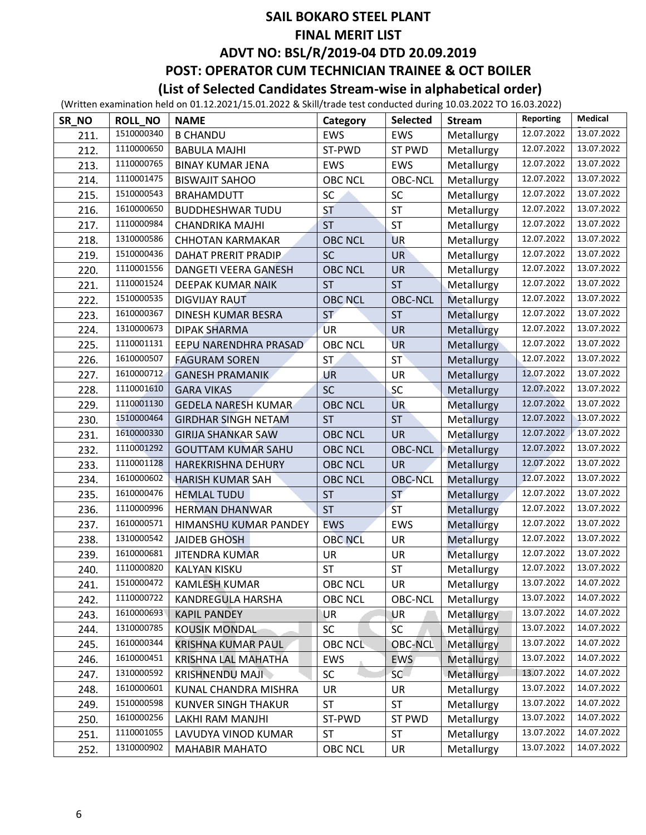| SR_NO        | ROLL NO    | <b>NAME</b>                                      | Category       | <b>Selected</b> | <b>Stream</b>            | Reporting  | <b>Medical</b>           |
|--------------|------------|--------------------------------------------------|----------------|-----------------|--------------------------|------------|--------------------------|
|              | 1510000340 | <b>B CHANDU</b>                                  | <b>EWS</b>     | EWS             |                          | 12.07.2022 | 13.07.2022               |
| 211.<br>212. | 1110000650 | <b>BABULA MAJHI</b>                              | ST-PWD         | <b>ST PWD</b>   | Metallurgy<br>Metallurgy | 12.07.2022 | 13.07.2022               |
|              | 1110000765 |                                                  | <b>EWS</b>     | EWS             | Metallurgy               | 12.07.2022 | 13.07.2022               |
| 213.         | 1110001475 | <b>BINAY KUMAR JENA</b><br><b>BISWAJIT SAHOO</b> | <b>OBC NCL</b> | <b>OBC-NCL</b>  | Metallurgy               | 12.07.2022 | 13.07.2022               |
| 214.<br>215. | 1510000543 |                                                  | SC             | SC              |                          | 12.07.2022 | 13.07.2022               |
|              | 1610000650 | <b>BRAHAMDUTT</b>                                | <b>ST</b>      | <b>ST</b>       | Metallurgy               | 12.07.2022 | 13.07.2022               |
| 216.         | 1110000984 | <b>BUDDHESHWAR TUDU</b>                          |                | <b>ST</b>       | Metallurgy               | 12.07.2022 | 13.07.2022               |
| 217.         | 1310000586 | CHANDRIKA MAJHI                                  | <b>ST</b>      |                 | Metallurgy               | 12.07.2022 | 13.07.2022               |
| 218.         | 1510000436 | <b>CHHOTAN KARMAKAR</b>                          | <b>OBC NCL</b> | <b>UR</b>       | Metallurgy               | 12.07.2022 | 13.07.2022               |
| 219.         | 1110001556 | DAHAT PRERIT PRADIP                              | <b>SC</b>      | <b>UR</b>       | Metallurgy               | 12.07.2022 | 13.07.2022               |
| 220.         | 1110001524 | DANGETI VEERA GANESH                             | <b>OBC NCL</b> | <b>UR</b>       | Metallurgy               | 12.07.2022 | 13.07.2022               |
| 221.         | 1510000535 | DEEPAK KUMAR NAIK                                | <b>ST</b>      | <b>ST</b>       | Metallurgy               | 12.07.2022 |                          |
| 222.         | 1610000367 | <b>DIGVIJAY RAUT</b>                             | <b>OBC NCL</b> | <b>OBC-NCL</b>  | Metallurgy               |            | 13.07.2022<br>13.07.2022 |
| 223.         |            | DINESH KUMAR BESRA                               | <b>ST</b>      | <b>ST</b>       | Metallurgy               | 12.07.2022 |                          |
| 224.         | 1310000673 | <b>DIPAK SHARMA</b>                              | <b>UR</b>      | <b>UR</b>       | Metallurgy               | 12.07.2022 | 13.07.2022               |
| 225.         | 1110001131 | EEPU NARENDHRA PRASAD                            | <b>OBC NCL</b> | <b>UR</b>       | Metallurgy               | 12.07.2022 | 13.07.2022               |
| 226.         | 1610000507 | <b>FAGURAM SOREN</b>                             | ST             | <b>ST</b>       | Metallurgy               | 12.07.2022 | 13.07.2022               |
| 227.         | 1610000712 | <b>GANESH PRAMANIK</b>                           | UR             | UR              | Metallurgy               | 12.07.2022 | 13.07.2022               |
| 228.         | 1110001610 | <b>GARA VIKAS</b>                                | <b>SC</b>      | SC              | Metallurgy               | 12.07.2022 | 13.07.2022               |
| 229.         | 1110001130 | <b>GEDELA NARESH KUMAR</b>                       | <b>OBC NCL</b> | <b>UR</b>       | Metallurgy               | 12.07.2022 | 13.07.2022               |
| 230.         | 1510000464 | <b>GIRDHAR SINGH NETAM</b>                       | <b>ST</b>      | <b>ST</b>       | Metallurgy               | 12.07.2022 | 13.07.2022               |
| 231.         | 1610000330 | <b>GIRIJA SHANKAR SAW</b>                        | <b>OBC NCL</b> | <b>UR</b>       | Metallurgy               | 12.07.2022 | 13.07.2022               |
| 232.         | 1110001292 | <b>GOUTTAM KUMAR SAHU</b>                        | <b>OBC NCL</b> | <b>OBC-NCL</b>  | Metallurgy               | 12.07.2022 | 13.07.2022               |
| 233.         | 1110001128 | HAREKRISHNA DEHURY                               | <b>OBC NCL</b> | <b>UR</b>       | Metallurgy               | 12.07.2022 | 13.07.2022               |
| 234.         | 1610000602 | <b>HARISH KUMAR SAH</b>                          | <b>OBC NCL</b> | <b>OBC-NCL</b>  | Metallurgy               | 12.07.2022 | 13.07.2022               |
| 235.         | 1610000476 | <b>HEMLAL TUDU</b>                               | <b>ST</b>      | <b>ST</b>       | Metallurgy               | 12.07.2022 | 13.07.2022               |
| 236.         | 1110000996 | <b>HERMAN DHANWAR</b>                            | <b>ST</b>      | <b>ST</b>       | Metallurgy               | 12.07.2022 | 13.07.2022               |
| 237.         | 1610000571 | HIMANSHU KUMAR PANDEY                            | <b>EWS</b>     | EWS             | Metallurgy               | 12.07.2022 | 13.07.2022               |
| 238.         | 1310000542 | <b>JAIDEB GHOSH</b>                              | <b>OBC NCL</b> | UR              | Metallurgy               | 12.07.2022 | 13.07.2022               |
| 239.         | 1610000681 | <b>JITENDRA KUMAR</b>                            | <b>UR</b>      | <b>UR</b>       | Metallurgy               | 12.07.2022 | 13.07.2022               |
| 240.         | 1110000820 | <b>KALYAN KISKU</b>                              | <b>ST</b>      | ST              | Metallurgy               | 12.07.2022 | 13.07.2022               |
| 241.         | 1510000472 | <b>KAMLESH KUMAR</b>                             | OBC NCL        | UR              | Metallurgy               | 13.07.2022 | 14.07.2022               |
| 242.         | 1110000722 | KANDREGULA HARSHA                                | <b>OBC NCL</b> | <b>OBC-NCL</b>  | Metallurgy               | 13.07.2022 | 14.07.2022               |
| 243.         | 1610000693 | <b>KAPIL PANDEY</b>                              | UR             | UR              | Metallurgy               | 13.07.2022 | 14.07.2022               |
| 244.         | 1310000785 | <b>KOUSIK MONDAL</b>                             | <b>SC</b>      | <b>SC</b>       | Metallurgy               | 13.07.2022 | 14.07.2022               |
| 245.         | 1610000344 | KRISHNA KUMAR PAUL                               | <b>OBC NCL</b> | <b>OBC-NCL</b>  | Metallurgy               | 13.07.2022 | 14.07.2022               |
| 246.         | 1610000451 | KRISHNA LAL MAHATHA                              | <b>EWS</b>     | <b>EWS</b>      | Metallurgy               | 13.07.2022 | 14.07.2022               |
| 247.         | 1310000592 | KRISHNENDU MAJI                                  | <b>SC</b>      | SC              | Metallurgy               | 13.07.2022 | 14.07.2022               |
| 248.         | 1610000601 | KUNAL CHANDRA MISHRA                             | UR             | UR              | Metallurgy               | 13.07.2022 | 14.07.2022               |
| 249.         | 1510000598 | <b>KUNVER SINGH THAKUR</b>                       | <b>ST</b>      | ST              | Metallurgy               | 13.07.2022 | 14.07.2022               |
| 250.         | 1610000256 | LAKHI RAM MANJHI                                 | ST-PWD         | <b>ST PWD</b>   | Metallurgy               | 13.07.2022 | 14.07.2022               |
| 251.         | 1110001055 | LAVUDYA VINOD KUMAR                              | <b>ST</b>      | <b>ST</b>       | Metallurgy               | 13.07.2022 | 14.07.2022               |
| 252.         | 1310000902 | <b>MAHABIR MAHATO</b>                            | <b>OBC NCL</b> | UR              | Metallurgy               | 13.07.2022 | 14.07.2022               |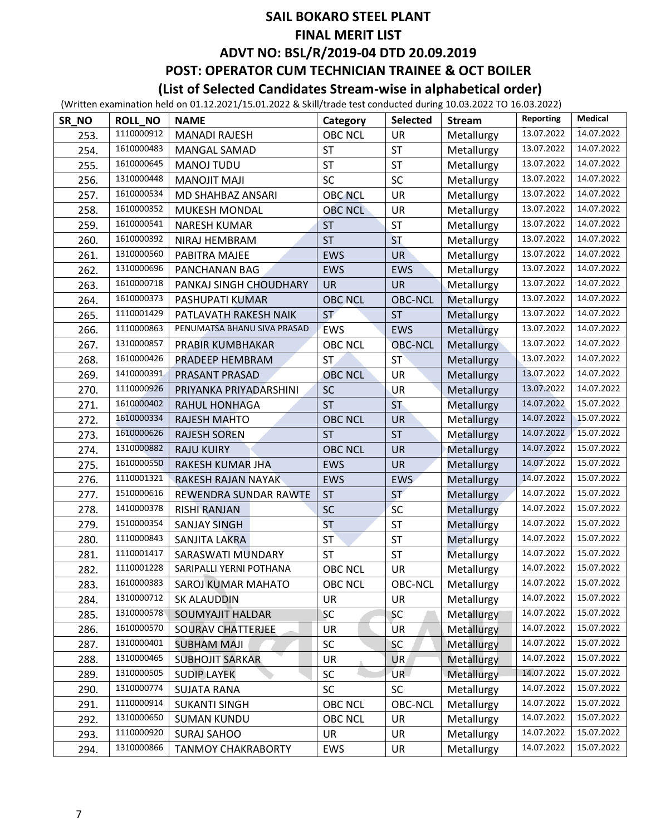| SR_NO | ROLL_NO    | <b>NAME</b>                 | Category       | <b>Selected</b> | <b>Stream</b> | Reporting  | Medical    |
|-------|------------|-----------------------------|----------------|-----------------|---------------|------------|------------|
| 253.  | 1110000912 | <b>MANADI RAJESH</b>        | <b>OBC NCL</b> | UR              | Metallurgy    | 13.07.2022 | 14.07.2022 |
| 254.  | 1610000483 | MANGAL SAMAD                | <b>ST</b>      | <b>ST</b>       | Metallurgy    | 13.07.2022 | 14.07.2022 |
| 255.  | 1610000645 | <b>MANOJ TUDU</b>           | <b>ST</b>      | <b>ST</b>       | Metallurgy    | 13.07.2022 | 14.07.2022 |
| 256.  | 1310000448 | <b>MANOJIT MAJI</b>         | <b>SC</b>      | SC              | Metallurgy    | 13.07.2022 | 14.07.2022 |
| 257.  | 1610000534 | MD SHAHBAZ ANSARI           | <b>OBC NCL</b> | UR              | Metallurgy    | 13.07.2022 | 14.07.2022 |
| 258.  | 1610000352 | MUKESH MONDAL               | <b>OBC NCL</b> | UR              | Metallurgy    | 13.07.2022 | 14.07.2022 |
| 259.  | 1610000541 | <b>NARESH KUMAR</b>         | <b>ST</b>      | <b>ST</b>       | Metallurgy    | 13.07.2022 | 14.07.2022 |
| 260.  | 1610000392 | NIRAJ HEMBRAM               | <b>ST</b>      | <b>ST</b>       | Metallurgy    | 13.07.2022 | 14.07.2022 |
| 261.  | 1310000560 | PABITRA MAJEE               | <b>EWS</b>     | <b>UR</b>       | Metallurgy    | 13.07.2022 | 14.07.2022 |
| 262.  | 1310000696 | PANCHANAN BAG               | <b>EWS</b>     | EWS             | Metallurgy    | 13.07.2022 | 14.07.2022 |
| 263.  | 1610000718 | PANKAJ SINGH CHOUDHARY      | <b>UR</b>      | <b>UR</b>       | Metallurgy    | 13.07.2022 | 14.07.2022 |
| 264.  | 1610000373 | PASHUPATI KUMAR             | <b>OBC NCL</b> | <b>OBC-NCL</b>  | Metallurgy    | 13.07.2022 | 14.07.2022 |
| 265.  | 1110001429 | PATLAVATH RAKESH NAIK       | <b>ST</b>      | <b>ST</b>       | Metallurgy    | 13.07.2022 | 14.07.2022 |
| 266.  | 1110000863 | PENUMATSA BHANU SIVA PRASAD | <b>EWS</b>     | EWS             | Metallurgy    | 13.07.2022 | 14.07.2022 |
| 267.  | 1310000857 | PRABIR KUMBHAKAR            | <b>OBC NCL</b> | <b>OBC-NCL</b>  | Metallurgy    | 13.07.2022 | 14.07.2022 |
| 268.  | 1610000426 | PRADEEP HEMBRAM             | ST             | <b>ST</b>       | Metallurgy    | 13.07.2022 | 14.07.2022 |
| 269.  | 1410000391 | PRASANT PRASAD              | <b>OBC NCL</b> | UR              | Metallurgy    | 13.07.2022 | 14.07.2022 |
| 270.  | 1110000926 | PRIYANKA PRIYADARSHINI      | <b>SC</b>      | <b>UR</b>       | Metallurgy    | 13.07.2022 | 14.07.2022 |
| 271.  | 1610000402 | <b>RAHUL HONHAGA</b>        | <b>ST</b>      | <b>ST</b>       | Metallurgy    | 14.07.2022 | 15.07.2022 |
| 272.  | 1610000334 | <b>RAJESH MAHTO</b>         | <b>OBC NCL</b> | <b>UR</b>       | Metallurgy    | 14.07.2022 | 15.07.2022 |
| 273.  | 1610000626 | <b>RAJESH SOREN</b>         | <b>ST</b>      | <b>ST</b>       | Metallurgy    | 14.07.2022 | 15.07.2022 |
| 274.  | 1310000882 | <b>RAJU KUIRY</b>           | <b>OBC NCL</b> | <b>UR</b>       | Metallurgy    | 14.07.2022 | 15.07.2022 |
| 275.  | 1610000550 | RAKESH KUMAR JHA            | <b>EWS</b>     | <b>UR</b>       | Metallurgy    | 14.07.2022 | 15.07.2022 |
| 276.  | 1110001321 | <b>RAKESH RAJAN NAYAK</b>   | <b>EWS</b>     | <b>EWS</b>      | Metallurgy    | 14.07.2022 | 15.07.2022 |
| 277.  | 1510000616 | REWENDRA SUNDAR RAWTE       | <b>ST</b>      | <b>ST</b>       | Metallurgy    | 14.07.2022 | 15.07.2022 |
| 278.  | 1410000378 | <b>RISHI RANJAN</b>         | <b>SC</b>      | <b>SC</b>       | Metallurgy    | 14.07.2022 | 15.07.2022 |
| 279.  | 1510000354 | <b>SANJAY SINGH</b>         | <b>ST</b>      | <b>ST</b>       | Metallurgy    | 14.07.2022 | 15.07.2022 |
| 280.  | 1110000843 | SANJITA LAKRA               | <b>ST</b>      | <b>ST</b>       | Metallurgy    | 14.07.2022 | 15.07.2022 |
| 281.  | 1110001417 | SARASWATI MUNDARY           | <b>ST</b>      | <b>ST</b>       | Metallurgy    | 14.07.2022 | 15.07.2022 |
| 282.  | 1110001228 | SARIPALLI YERNI POTHANA     | <b>OBC NCL</b> | UR              | Metallurgy    | 14.07.2022 | 15.07.2022 |
| 283.  | 1610000383 | SAROJ KUMAR MAHATO          | OBC NCL        | OBC-NCL         | Metallurgy    | 14.07.2022 | 15.07.2022 |
| 284.  | 1310000712 | <b>SK ALAUDDIN</b>          | <b>UR</b>      | <b>UR</b>       | Metallurgy    | 14.07.2022 | 15.07.2022 |
| 285.  | 1310000578 | SOUMYAJIT HALDAR            | SC             | SC              | Metallurgy    | 14.07.2022 | 15.07.2022 |
| 286.  | 1610000570 | <b>SOURAV CHATTERJEE</b>    | UR             | UR              | Metallurgy    | 14.07.2022 | 15.07.2022 |
| 287.  | 1310000401 | <b>SUBHAM MAJI</b>          | SC             | <b>SC</b>       | Metallurgy    | 14.07.2022 | 15.07.2022 |
| 288.  | 1310000465 | <b>SUBHOJIT SARKAR</b>      | UR             | UR              | Metallurgy    | 14.07.2022 | 15.07.2022 |
| 289.  | 1310000505 | <b>SUDIP LAYEK</b>          | <b>SC</b>      | UR.             | Metallurgy    | 14.07.2022 | 15.07.2022 |
| 290.  | 1310000774 | <b>SUJATA RANA</b>          | SC             | SC              | Metallurgy    | 14.07.2022 | 15.07.2022 |
| 291.  | 1110000914 | <b>SUKANTI SINGH</b>        | <b>OBC NCL</b> | <b>OBC-NCL</b>  | Metallurgy    | 14.07.2022 | 15.07.2022 |
| 292.  | 1310000650 | <b>SUMAN KUNDU</b>          | <b>OBC NCL</b> | UR              | Metallurgy    | 14.07.2022 | 15.07.2022 |
| 293.  | 1110000920 | <b>SURAJ SAHOO</b>          | UR             | UR              | Metallurgy    | 14.07.2022 | 15.07.2022 |
| 294.  | 1310000866 | <b>TANMOY CHAKRABORTY</b>   | EWS            | UR              | Metallurgy    | 14.07.2022 | 15.07.2022 |